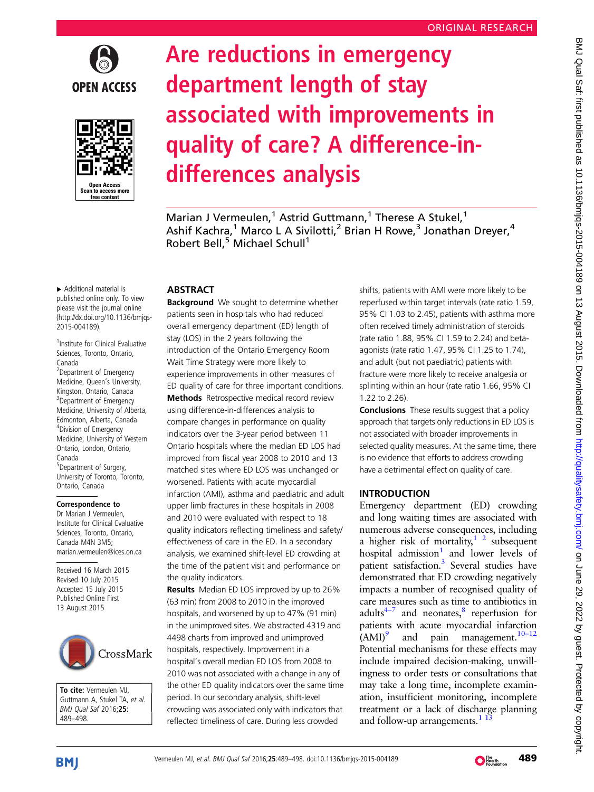



# Are reductions in emergency department length of stay associated with improvements in quality of care? A difference-indifferences analysis

Marian J Vermeulen,<sup>1</sup> Astrid Guttmann,<sup>1</sup> Therese A Stukel,<sup>1</sup> Ashif Kachra,<sup>1</sup> Marco L A Sivilotti,<sup>2</sup> Brian H Rowe,<sup>3</sup> Jonathan Dreyer,<sup>4</sup> Robert Bell,<sup>5</sup> Michael Schull<sup>1</sup>

▸ Additional material is published online only. To view please visit the journal online ([http://dx.doi.org/10.1136/bmjqs-](http://dx.doi.org/10.1136/bmjqs-2015-004189)[2015-004189](http://dx.doi.org/10.1136/bmjqs-2015-004189)).

<sup>1</sup>Institute for Clinical Evaluative Sciences, Toronto, Ontario, Canada <sup>2</sup> Department of Emergency Medicine, Queen's University, Kingston, Ontario, Canada <sup>3</sup>Department of Emergency Medicine, University of Alberta, Edmonton, Alberta, Canada 4 Division of Emergency Medicine, University of Western Ontario, London, Ontario, Canada 5 Department of Surgery, University of Toronto, Toronto, Ontario, Canada

#### Correspondence to

Dr Marian J Vermeulen, Institute for Clinical Evaluative Sciences, Toronto, Ontario, Canada M4N 3M5; marian.vermeulen@ices.on.ca

Received 16 March 2015 Revised 10 July 2015 Accepted 15 July 2015 Published Online First 13 August 2015



To cite: Vermeulen MJ, Guttmann A, Stukel TA, et al. BMJ Qual Saf 2016;25: 489–498.

# ABSTRACT

**Background** We sought to determine whether patients seen in hospitals who had reduced overall emergency department (ED) length of stay (LOS) in the 2 years following the introduction of the Ontario Emergency Room Wait Time Strategy were more likely to experience improvements in other measures of ED quality of care for three important conditions. Methods Retrospective medical record review using difference-in-differences analysis to compare changes in performance on quality indicators over the 3-year period between 11 Ontario hospitals where the median ED LOS had improved from fiscal year 2008 to 2010 and 13 matched sites where ED LOS was unchanged or worsened. Patients with acute myocardial infarction (AMI), asthma and paediatric and adult upper limb fractures in these hospitals in 2008 and 2010 were evaluated with respect to 18 quality indicators reflecting timeliness and safety/ effectiveness of care in the ED. In a secondary analysis, we examined shift-level ED crowding at the time of the patient visit and performance on the quality indicators.

Results Median ED LOS improved by up to 26% (63 min) from 2008 to 2010 in the improved hospitals, and worsened by up to 47% (91 min) in the unimproved sites. We abstracted 4319 and 4498 charts from improved and unimproved hospitals, respectively. Improvement in a hospital's overall median ED LOS from 2008 to 2010 was not associated with a change in any of the other ED quality indicators over the same time period. In our secondary analysis, shift-level crowding was associated only with indicators that reflected timeliness of care. During less crowded

shifts, patients with AMI were more likely to be reperfused within target intervals (rate ratio 1.59, 95% CI 1.03 to 2.45), patients with asthma more often received timely administration of steroids (rate ratio 1.88, 95% CI 1.59 to 2.24) and betaagonists (rate ratio 1.47, 95% CI 1.25 to 1.74), and adult (but not paediatric) patients with fracture were more likely to receive analgesia or splinting within an hour (rate ratio 1.66, 95% CI 1.22 to 2.26).

Conclusions These results suggest that a policy approach that targets only reductions in ED LOS is not associated with broader improvements in selected quality measures. At the same time, there is no evidence that efforts to address crowding have a detrimental effect on quality of care.

#### INTRODUCTION

Emergency department (ED) crowding and long waiting times are associated with numerous adverse consequences, including a higher risk of mortality, $1^2$  subsequent hospital admission<sup>[1](#page-7-0)</sup> and lower levels of patient satisfaction.<sup>[3](#page-7-0)</sup> Several studies have demonstrated that ED crowding negatively impacts a number of recognised quality of care measures such as time to antibiotics in adults $4-7$  and neonates,<sup>8</sup> reperfusion for patients with acute myocardial infarction  $(AMI)^9$  and pain management.<sup>[10](#page-8-0)–12</sup> Potential mechanisms for these effects may include impaired decision-making, unwillingness to order tests or consultations that may take a long time, incomplete examination, insufficient monitoring, incomplete treatment or a lack of discharge planning and follow-up arrangements. $1^{13}$  $1^{13}$ 

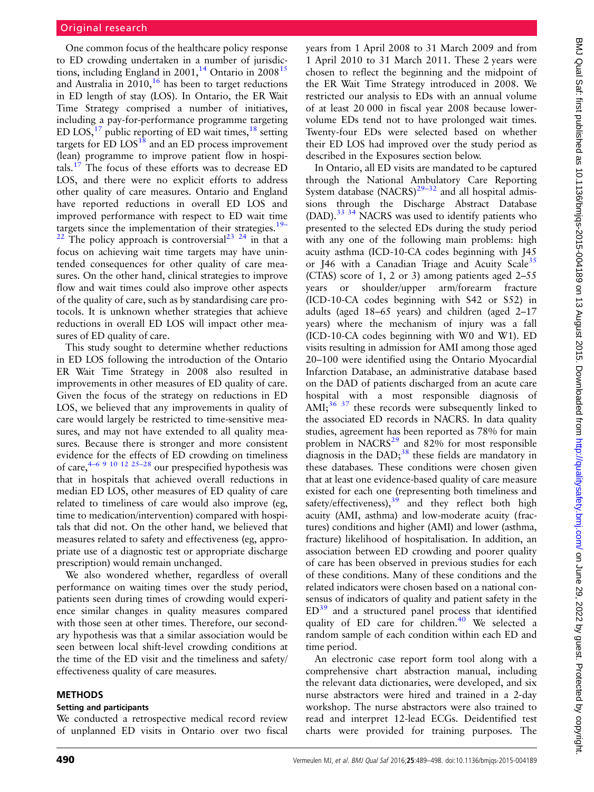One common focus of the healthcare policy response to ED crowding undertaken in a number of jurisdictions, including England in  $2001$ , <sup>[14](#page-8-0)</sup> Ontario in  $2008$ <sup>[15](#page-8-0)</sup> and Australia in  $2010$ ,<sup>[16](#page-8-0)</sup> has been to target reductions in ED length of stay (LOS). In Ontario, the ER Wait Time Strategy comprised a number of initiatives, including a pay-for-performance programme targeting ED LOS, $^{17}$  $^{17}$  $^{17}$  public reporting of ED wait times, $^{18}$  $^{18}$  $^{18}$  setting targets for  $ED LOS^{18}$  $ED LOS^{18}$  $ED LOS^{18}$  and an  $ED process$  improvement (lean) programme to improve patient flow in hospitals.[17](#page-8-0) The focus of these efforts was to decrease ED LOS, and there were no explicit efforts to address other quality of care measures. Ontario and England have reported reductions in overall ED LOS and improved performance with respect to ED wait time targets since the implementation of their strategies.<sup>[19](#page-8-0)–</sup> <sup>[22](#page-8-0)</sup> The policy approach is controversial<sup>[23 24](#page-8-0)</sup> in that a focus on achieving wait time targets may have unintended consequences for other quality of care measures. On the other hand, clinical strategies to improve flow and wait times could also improve other aspects of the quality of care, such as by standardising care protocols. It is unknown whether strategies that achieve reductions in overall ED LOS will impact other measures of ED quality of care.

This study sought to determine whether reductions in ED LOS following the introduction of the Ontario ER Wait Time Strategy in 2008 also resulted in improvements in other measures of ED quality of care. Given the focus of the strategy on reductions in ED LOS, we believed that any improvements in quality of care would largely be restricted to time-sensitive measures, and may not have extended to all quality measures. Because there is stronger and more consistent evidence for the effects of ED crowding on timeliness of care,  $4-6$  $4-6$  [9 10 12](#page-8-0) 25–[28](#page-8-0) our prespecified hypothesis was that in hospitals that achieved overall reductions in median ED LOS, other measures of ED quality of care related to timeliness of care would also improve (eg, time to medication/intervention) compared with hospitals that did not. On the other hand, we believed that measures related to safety and effectiveness (eg, appropriate use of a diagnostic test or appropriate discharge prescription) would remain unchanged.

We also wondered whether, regardless of overall performance on waiting times over the study period, patients seen during times of crowding would experience similar changes in quality measures compared with those seen at other times. Therefore, our secondary hypothesis was that a similar association would be seen between local shift-level crowding conditions at the time of the ED visit and the timeliness and safety/ effectiveness quality of care measures.

#### METHODS

#### Setting and participants

We conducted a retrospective medical record review of unplanned ED visits in Ontario over two fiscal years from 1 April 2008 to 31 March 2009 and from 1 April 2010 to 31 March 2011. These 2 years were chosen to reflect the beginning and the midpoint of the ER Wait Time Strategy introduced in 2008. We restricted our analysis to EDs with an annual volume of at least 20 000 in fiscal year 2008 because lowervolume EDs tend not to have prolonged wait times. Twenty-four EDs were selected based on whether their ED LOS had improved over the study period as described in the Exposures section below.

In Ontario, all ED visits are mandated to be captured through the National Ambulatory Care Reporting System database  $(NACRS)^{29-32}$  $(NACRS)^{29-32}$  $(NACRS)^{29-32}$  and all hospital admissions through the Discharge Abstract Database  $(DAD)$ .<sup>[33 34](#page-8-0)</sup> NACRS was used to identify patients who presented to the selected EDs during the study period with any one of the following main problems: high acuity asthma (ICD-10-CA codes beginning with J45 or J46 with a Canadian Triage and Acuity Scale<sup>[35](#page-8-0)</sup> (CTAS) score of 1, 2 or 3) among patients aged 2–55 years or shoulder/upper arm/forearm fracture (ICD-10-CA codes beginning with S42 or S52) in adults (aged 18–65 years) and children (aged 2–17 years) where the mechanism of injury was a fall (ICD-10-CA codes beginning with W0 and W1). ED visits resulting in admission for AMI among those aged 20–100 were identified using the Ontario Myocardial Infarction Database, an administrative database based on the DAD of patients discharged from an acute care hospital with a most responsible diagnosis of  $AMI$ ;<sup>[36 37](#page-8-0)</sup> these records were subsequently linked to the associated ED records in NACRS. In data quality studies, agreement has been reported as 78% for main problem in NACR $S^{29}$  $S^{29}$  $S^{29}$  and 82% for most responsible diagnosis in the DAD; $38$  these fields are mandatory in these databases. These conditions were chosen given that at least one evidence-based quality of care measure existed for each one (representing both timeliness and safety/effectiveness), $39$  and they reflect both high acuity (AMI, asthma) and low-moderate acuity (fractures) conditions and higher (AMI) and lower (asthma, fracture) likelihood of hospitalisation. In addition, an association between ED crowding and poorer quality of care has been observed in previous studies for each of these conditions. Many of these conditions and the related indicators were chosen based on a national consensus of indicators of quality and patient safety in the ED[39](#page-8-0) and a structured panel process that identified quality of ED care for children.<sup>[40](#page-8-0)</sup> We selected a random sample of each condition within each ED and time period.

An electronic case report form tool along with a comprehensive chart abstraction manual, including the relevant data dictionaries, were developed, and six nurse abstractors were hired and trained in a 2-day workshop. The nurse abstractors were also trained to read and interpret 12-lead ECGs. Deidentified test charts were provided for training purposes. The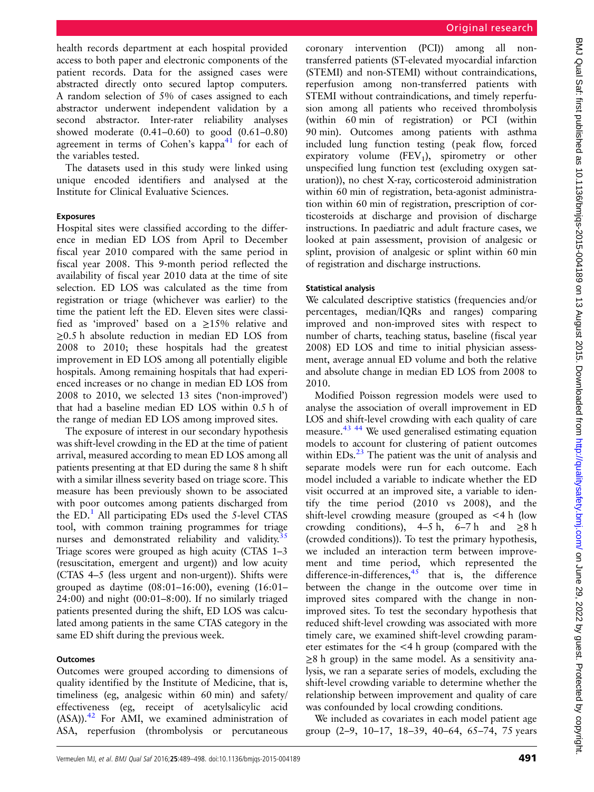health records department at each hospital provided access to both paper and electronic components of the patient records. Data for the assigned cases were abstracted directly onto secured laptop computers. A random selection of 5% of cases assigned to each abstractor underwent independent validation by a second abstractor. Inter-rater reliability analyses showed moderate (0.41–0.60) to good (0.61–0.80) agreement in terms of Cohen's kappa $41$  for each of the variables tested.

The datasets used in this study were linked using unique encoded identifiers and analysed at the Institute for Clinical Evaluative Sciences.

#### Exposures

Hospital sites were classified according to the difference in median ED LOS from April to December fiscal year 2010 compared with the same period in fiscal year 2008. This 9-month period reflected the availability of fiscal year 2010 data at the time of site selection. ED LOS was calculated as the time from registration or triage (whichever was earlier) to the time the patient left the ED. Eleven sites were classified as 'improved' based on a  $\geq 15\%$  relative and ≥0.5 h absolute reduction in median ED LOS from 2008 to 2010; these hospitals had the greatest improvement in ED LOS among all potentially eligible hospitals. Among remaining hospitals that had experienced increases or no change in median ED LOS from 2008 to 2010, we selected 13 sites ('non-improved') that had a baseline median ED LOS within 0.5 h of the range of median ED LOS among improved sites.

The exposure of interest in our secondary hypothesis was shift-level crowding in the ED at the time of patient arrival, measured according to mean ED LOS among all patients presenting at that ED during the same 8 h shift with a similar illness severity based on triage score. This measure has been previously shown to be associated with poor outcomes among patients discharged from the  $ED<sup>1</sup>$  All participating EDs used the 5-level CTAS tool, with common training programmes for triage nurses and demonstrated reliability and validity.<sup>35</sup> Triage scores were grouped as high acuity (CTAS 1–3 (resuscitation, emergent and urgent)) and low acuity (CTAS 4–5 (less urgent and non-urgent)). Shifts were grouped as daytime (08:01–16:00), evening (16:01– 24:00) and night (00:01–8:00). If no similarly triaged patients presented during the shift, ED LOS was calculated among patients in the same CTAS category in the same ED shift during the previous week.

#### **Outcomes**

Outcomes were grouped according to dimensions of quality identified by the Institute of Medicine, that is, timeliness (eg, analgesic within 60 min) and safety/ effectiveness (eg, receipt of acetylsalicylic acid  $(ASA)$ ).<sup>[42](#page-8-0)</sup> For AMI, we examined administration of ASA, reperfusion (thrombolysis or percutaneous

coronary intervention (PCI)) among all nontransferred patients (ST-elevated myocardial infarction (STEMI) and non-STEMI) without contraindications, reperfusion among non-transferred patients with STEMI without contraindications, and timely reperfusion among all patients who received thrombolysis (within 60 min of registration) or PCI (within 90 min). Outcomes among patients with asthma included lung function testing (peak flow, forced expiratory volume  $(FEV_1)$ , spirometry or other unspecified lung function test (excluding oxygen saturation)), no chest X-ray, corticosteroid administration within 60 min of registration, beta-agonist administration within 60 min of registration, prescription of corticosteroids at discharge and provision of discharge instructions. In paediatric and adult fracture cases, we looked at pain assessment, provision of analgesic or splint, provision of analgesic or splint within 60 min of registration and discharge instructions.

#### Statistical analysis

We calculated descriptive statistics (frequencies and/or percentages, median/IQRs and ranges) comparing improved and non-improved sites with respect to number of charts, teaching status, baseline (fiscal year 2008) ED LOS and time to initial physician assessment, average annual ED volume and both the relative and absolute change in median ED LOS from 2008 to 2010.

Modified Poisson regression models were used to analyse the association of overall improvement in ED LOS and shift-level crowding with each quality of care measure. $43 \frac{44}{14}$  We used generalised estimating equation models to account for clustering of patient outcomes within  $EDs<sup>23</sup>$  $EDs<sup>23</sup>$  $EDs<sup>23</sup>$ . The patient was the unit of analysis and separate models were run for each outcome. Each model included a variable to indicate whether the ED visit occurred at an improved site, a variable to identify the time period (2010 vs 2008), and the shift-level crowding measure (grouped as <4 h (low crowding conditions), 4–5 h, 6–7 h and  $\geq 8$  h (crowded conditions)). To test the primary hypothesis, we included an interaction term between improvement and time period, which represented the difference-in-differences, $45$  that is, the difference between the change in the outcome over time in improved sites compared with the change in nonimproved sites. To test the secondary hypothesis that reduced shift-level crowding was associated with more timely care, we examined shift-level crowding parameter estimates for the <4 h group (compared with the  $\geq$ 8 h group) in the same model. As a sensitivity analysis, we ran a separate series of models, excluding the shift-level crowding variable to determine whether the relationship between improvement and quality of care was confounded by local crowding conditions.

We included as covariates in each model patient age group (2–9, 10–17, 18–39, 40–64, 65–74, 75 years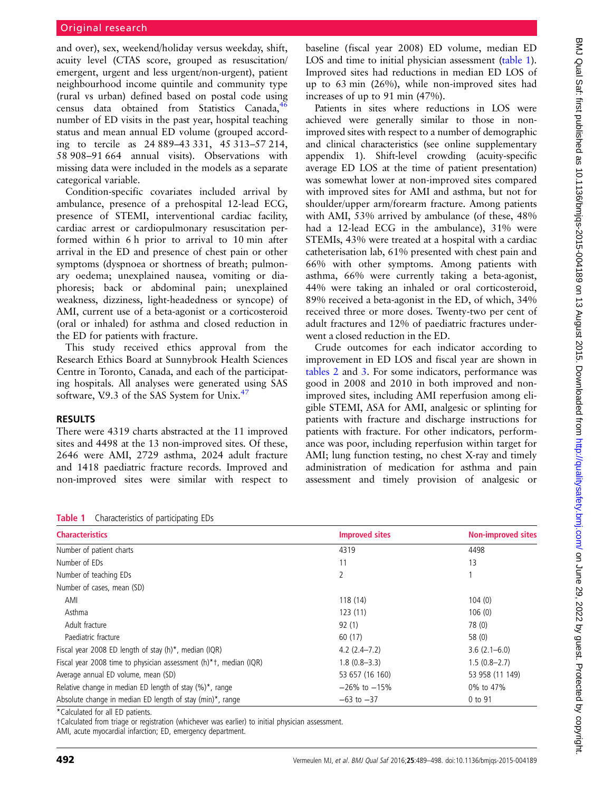and over), sex, weekend/holiday versus weekday, shift, acuity level (CTAS score, grouped as resuscitation/ emergent, urgent and less urgent/non-urgent), patient neighbourhood income quintile and community type (rural vs urban) defined based on postal code using census data obtained from Statistics Canada, <sup>[46](#page-8-0)</sup> number of ED visits in the past year, hospital teaching status and mean annual ED volume (grouped according to tercile as 24 889–43 331, 45 313–57 214, 58 908–91 664 annual visits). Observations with missing data were included in the models as a separate categorical variable.

Condition-specific covariates included arrival by ambulance, presence of a prehospital 12-lead ECG, presence of STEMI, interventional cardiac facility, cardiac arrest or cardiopulmonary resuscitation performed within 6 h prior to arrival to 10 min after arrival in the ED and presence of chest pain or other symptoms (dyspnoea or shortness of breath; pulmonary oedema; unexplained nausea, vomiting or diaphoresis; back or abdominal pain; unexplained weakness, dizziness, light-headedness or syncope) of AMI, current use of a beta-agonist or a corticosteroid (oral or inhaled) for asthma and closed reduction in the ED for patients with fracture.

This study received ethics approval from the Research Ethics Board at Sunnybrook Health Sciences Centre in Toronto, Canada, and each of the participating hospitals. All analyses were generated using SAS software, V.9.3 of the SAS System for Unix. $47$ 

#### RESULTS

There were 4319 charts abstracted at the 11 improved sites and 4498 at the 13 non-improved sites. Of these, 2646 were AMI, 2729 asthma, 2024 adult fracture and 1418 paediatric fracture records. Improved and non-improved sites were similar with respect to

baseline (fiscal year 2008) ED volume, median ED LOS and time to initial physician assessment (table 1). Improved sites had reductions in median ED LOS of up to 63 min (26%), while non-improved sites had increases of up to 91 min (47%).

Patients in sites where reductions in LOS were achieved were generally similar to those in nonimproved sites with respect to a number of demographic and clinical characteristics (see online supplementary appendix 1). Shift-level crowding (acuity-specific average ED LOS at the time of patient presentation) was somewhat lower at non-improved sites compared with improved sites for AMI and asthma, but not for shoulder/upper arm/forearm fracture. Among patients with AMI, 53% arrived by ambulance (of these, 48% had a 12-lead ECG in the ambulance), 31% were STEMIs, 43% were treated at a hospital with a cardiac catheterisation lab, 61% presented with chest pain and 66% with other symptoms. Among patients with asthma, 66% were currently taking a beta-agonist, 44% were taking an inhaled or oral corticosteroid, 89% received a beta-agonist in the ED, of which, 34% received three or more doses. Twenty-two per cent of adult fractures and 12% of paediatric fractures underwent a closed reduction in the ED.

Crude outcomes for each indicator according to improvement in ED LOS and fiscal year are shown in [tables 2](#page-4-0) and [3.](#page-4-0) For some indicators, performance was good in 2008 and 2010 in both improved and nonimproved sites, including AMI reperfusion among eligible STEMI, ASA for AMI, analgesic or splinting for patients with fracture and discharge instructions for patients with fracture. For other indicators, performance was poor, including reperfusion within target for AMI; lung function testing, no chest X-ray and timely administration of medication for asthma and pain assessment and timely provision of analgesic or

Table 1 Characteristics of participating EDs

| <b>Characteristics</b>                                            | <b>Improved sites</b> | <b>Non-improved sites</b> |  |  |
|-------------------------------------------------------------------|-----------------------|---------------------------|--|--|
| Number of patient charts                                          | 4319                  | 4498                      |  |  |
| Number of EDs                                                     | 11                    | 13                        |  |  |
| Number of teaching EDs                                            | 2                     |                           |  |  |
| Number of cases, mean (SD)                                        |                       |                           |  |  |
| AMI                                                               | 118(14)               | 104(0)                    |  |  |
| Asthma                                                            | 123(11)               | 106(0)                    |  |  |
| Adult fracture                                                    | 92(1)                 | 78 (0)                    |  |  |
| Paediatric fracture                                               | 60 (17)               | 58 (0)                    |  |  |
| Fiscal year 2008 ED length of stay $(h)^*$ , median (IQR)         | $4.2(2.4 - 7.2)$      | $3.6(2.1 - 6.0)$          |  |  |
| Fiscal year 2008 time to physician assessment (h)*1, median (IQR) | $1.8(0.8-3.3)$        | $1.5(0.8-2.7)$            |  |  |
| Average annual ED volume, mean (SD)                               | 53 657 (16 160)       | 53 958 (11 149)           |  |  |
| Relative change in median ED length of stay $(\%)^*$ , range      | $-26\%$ to $-15\%$    | 0% to 47%                 |  |  |
| Absolute change in median ED length of stay (min)*, range         | $-63$ to $-37$        | 0 to 91                   |  |  |

\*Calculated for all ED patients.

†Calculated from triage or registration (whichever was earlier) to initial physician assessment.

AMI, acute myocardial infarction; ED, emergency department.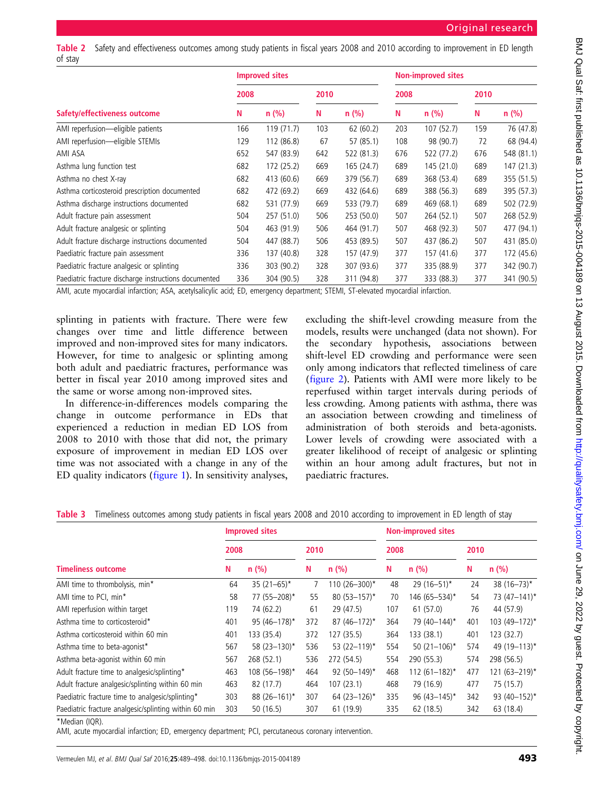<span id="page-4-0"></span>Table 2 Safety and effectiveness outcomes among study patients in fiscal years 2008 and 2010 according to improvement in ED length of stay

|                                                       | <b>Improved sites</b> |            |      |            | <b>Non-improved sites</b> |            |      |            |  |
|-------------------------------------------------------|-----------------------|------------|------|------------|---------------------------|------------|------|------------|--|
|                                                       | 2008                  |            | 2010 |            | 2008                      |            | 2010 |            |  |
| Safety/effectiveness outcome                          | N                     | $n$ (%)    | N    | $n$ (%)    | Ν                         | $n$ (%)    | N    | $n$ (%)    |  |
| AMI reperfusion-eligible patients                     | 166                   | 119(71.7)  | 103  | 62(60.2)   | 203                       | 107(52.7)  | 159  | 76 (47.8)  |  |
| AMI reperfusion-eligible STEMIs                       | 129                   | 112 (86.8) | 67   | 57 (85.1)  | 108                       | 98 (90.7)  | 72   | 68 (94.4)  |  |
| AMI ASA                                               | 652                   | 547 (83.9) | 642  | 522 (81.3) | 676                       | 522 (77.2) | 676  | 548 (81.1) |  |
| Asthma lung function test                             | 682                   | 172 (25.2) | 669  | 165 (24.7) | 689                       | 145 (21.0) | 689  | 147 (21.3) |  |
| Asthma no chest X-ray                                 | 682                   | 413 (60.6) | 669  | 379 (56.7) | 689                       | 368 (53.4) | 689  | 355 (51.5) |  |
| Asthma corticosteroid prescription documented         | 682                   | 472 (69.2) | 669  | 432 (64.6) | 689                       | 388 (56.3) | 689  | 395 (57.3) |  |
| Asthma discharge instructions documented              | 682                   | 531 (77.9) | 669  | 533 (79.7) | 689                       | 469 (68.1) | 689  | 502 (72.9) |  |
| Adult fracture pain assessment                        | 504                   | 257 (51.0) | 506  | 253 (50.0) | 507                       | 264 (52.1) | 507  | 268 (52.9) |  |
| Adult fracture analgesic or splinting                 | 504                   | 463 (91.9) | 506  | 464 (91.7) | 507                       | 468 (92.3) | 507  | 477 (94.1) |  |
| Adult fracture discharge instructions documented      | 504                   | 447 (88.7) | 506  | 453 (89.5) | 507                       | 437 (86.2) | 507  | 431 (85.0) |  |
| Paediatric fracture pain assessment                   | 336                   | 137 (40.8) | 328  | 157 (47.9) | 377                       | 157 (41.6) | 377  | 172 (45.6) |  |
| Paediatric fracture analgesic or splinting            | 336                   | 303 (90.2) | 328  | 307 (93.6) | 377                       | 335 (88.9) | 377  | 342 (90.7) |  |
| Paediatric fracture discharge instructions documented | 336                   | 304 (90.5) | 328  | 311 (94.8) | 377                       | 333 (88.3) | 377  | 341 (90.5) |  |

AMI, acute myocardial infarction; ASA, acetylsalicylic acid; ED, emergency department; STEMI, ST-elevated myocardial infarction.

splinting in patients with fracture. There were few changes over time and little difference between improved and non-improved sites for many indicators. However, for time to analgesic or splinting among both adult and paediatric fractures, performance was better in fiscal year 2010 among improved sites and the same or worse among non-improved sites.

In difference-in-differences models comparing the change in outcome performance in EDs that experienced a reduction in median ED LOS from 2008 to 2010 with those that did not, the primary exposure of improvement in median ED LOS over time was not associated with a change in any of the ED quality indicators ([figure 1\)](#page-5-0). In sensitivity analyses,

excluding the shift-level crowding measure from the models, results were unchanged (data not shown). For the secondary hypothesis, associations between shift-level ED crowding and performance were seen only among indicators that reflected timeliness of care ([figure 2\)](#page-5-0). Patients with AMI were more likely to be reperfused within target intervals during periods of less crowding. Among patients with asthma, there was an association between crowding and timeliness of administration of both steroids and beta-agonists. Lower levels of crowding were associated with a greater likelihood of receipt of analgesic or splinting within an hour among adult fractures, but not in paediatric fractures.

|  |  | Table 3 Timeliness outcomes among study patients in fiscal years 2008 and 2010 according to improvement in ED length of stay |  |
|--|--|------------------------------------------------------------------------------------------------------------------------------|--|
|  |  |                                                                                                                              |  |

|                                                       | <b>Improved sites</b> |                 |     |                  | <b>Non-improved sites</b> |                 |     |                |  |
|-------------------------------------------------------|-----------------------|-----------------|-----|------------------|---------------------------|-----------------|-----|----------------|--|
| <b>Timeliness outcome</b>                             |                       | 2008            |     | 2010             |                           | 2008            |     | 2010           |  |
|                                                       |                       | $n$ (%)         | Ν   | $n$ (%)          | N                         | n(%)            | N   | $n$ (%)        |  |
| AMI time to thrombolysis, min*                        | 64                    | $35(21-65)^*$   | 7   | 110 (26-300)*    | 48                        | $29(16-51)^*$   | 24  | $38(16-73)^*$  |  |
| AMI time to PCI, min*                                 | 58                    | 77 (55-208)*    | 55  | $80(53 - 157)^*$ | 70                        | 146 (65-534)*   | 54  | 73 (47-141)*   |  |
| AMI reperfusion within target                         | 119                   | 74 (62.2)       | 61  | 29 (47.5)        | 107                       | 61(57.0)        | 76  | 44 (57.9)      |  |
| Asthma time to corticosteroid*                        | 401                   | 95 (46-178)*    | 372 | 87 (46-172)*     | 364                       | 79 (40-144)*    | 401 | 103 (49-172)*  |  |
| Asthma corticosteroid within 60 min                   | 401                   | 133 (35.4)      | 372 | 127 (35.5)       | 364                       | 133 (38.1)      | 401 | 123 (32.7)     |  |
| Asthma time to beta-agonist*                          | 567                   | 58 $(23-130)^*$ | 536 | 53 (22-119)*     | 554                       | 50 $(21-106)^*$ | 574 | 49 (19 – 113)* |  |
| Asthma beta-agonist within 60 min                     | 567                   | 268 (52.1)      | 536 | 272 (54.5)       | 554                       | 290 (55.3)      | 574 | 298 (56.5)     |  |
| Adult fracture time to analgesic/splinting*           | 463                   | 108 (56-198)*   | 464 | $92(50-149)^*$   | 468                       | $112(61-182)^*$ | 477 | 121 (63-219)*  |  |
| Adult fracture analgesic/splinting within 60 min      | 463                   | 82 (17.7)       | 464 | 107(23.1)        | 468                       | 79 (16.9)       | 477 | 75 (15.7)      |  |
| Paediatric fracture time to analgesic/splinting*      | 303                   | 88 (26-161)*    | 307 | $64(23 - 126)^*$ | 335                       | 96 (43-145)*    | 342 | 93 (40-152)*   |  |
| Paediatric fracture analgesic/splinting within 60 min | 303                   | 50 (16.5)       | 307 | 61 (19.9)        | 335                       | 62 (18.5)       | 342 | 63 (18.4)      |  |
| $*$ (100)                                             |                       |                 |     |                  |                           |                 |     |                |  |

Median (IOR).

AMI, acute myocardial infarction; ED, emergency department; PCI, percutaneous coronary intervention.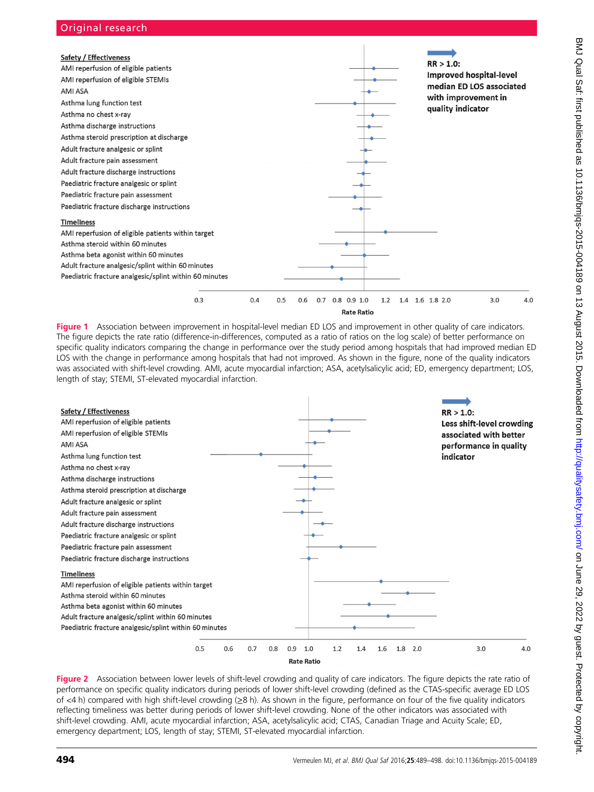<span id="page-5-0"></span>

Figure 1 Association between improvement in hospital-level median ED LOS and improvement in other quality of care indicators. The figure depicts the rate ratio (difference-in-differences, computed as a ratio of ratios on the log scale) of better performance on specific quality indicators comparing the change in performance over the study period among hospitals that had improved median ED LOS with the change in performance among hospitals that had not improved. As shown in the figure, none of the quality indicators was associated with shift-level crowding. AMI, acute myocardial infarction; ASA, acetylsalicylic acid; ED, emergency department; LOS, length of stay; STEMI, ST-elevated myocardial infarction.



Figure 2 Association between lower levels of shift-level crowding and quality of care indicators. The figure depicts the rate ratio of performance on specific quality indicators during periods of lower shift-level crowding (defined as the CTAS-specific average ED LOS of <4 h) compared with high shift-level crowding (≥8 h). As shown in the figure, performance on four of the five quality indicators reflecting timeliness was better during periods of lower shift-level crowding. None of the other indicators was associated with shift-level crowding. AMI, acute myocardial infarction; ASA, acetylsalicylic acid; CTAS, Canadian Triage and Acuity Scale; ED, emergency department; LOS, length of stay; STEMI, ST-elevated myocardial infarction.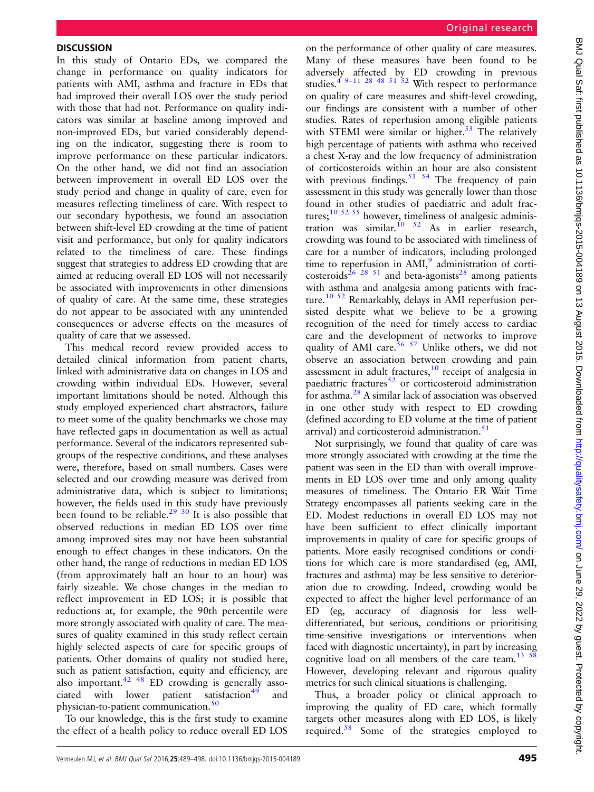In this study of Ontario EDs, we compared the change in performance on quality indicators for patients with AMI, asthma and fracture in EDs that had improved their overall LOS over the study period with those that had not. Performance on quality indicators was similar at baseline among improved and non-improved EDs, but varied considerably depending on the indicator, suggesting there is room to improve performance on these particular indicators. On the other hand, we did not find an association between improvement in overall ED LOS over the study period and change in quality of care, even for measures reflecting timeliness of care. With respect to our secondary hypothesis, we found an association between shift-level ED crowding at the time of patient visit and performance, but only for quality indicators related to the timeliness of care. These findings suggest that strategies to address ED crowding that are aimed at reducing overall ED LOS will not necessarily be associated with improvements in other dimensions of quality of care. At the same time, these strategies do not appear to be associated with any unintended consequences or adverse effects on the measures of quality of care that we assessed.

This medical record review provided access to detailed clinical information from patient charts, linked with administrative data on changes in LOS and crowding within individual EDs. However, several important limitations should be noted. Although this study employed experienced chart abstractors, failure to meet some of the quality benchmarks we chose may have reflected gaps in documentation as well as actual performance. Several of the indicators represented subgroups of the respective conditions, and these analyses were, therefore, based on small numbers. Cases were selected and our crowding measure was derived from administrative data, which is subject to limitations; however, the fields used in this study have previously been found to be reliable.<sup>[29 30](#page-8-0)</sup> It is also possible that observed reductions in median ED LOS over time among improved sites may not have been substantial enough to effect changes in these indicators. On the other hand, the range of reductions in median ED LOS (from approximately half an hour to an hour) was fairly sizeable. We chose changes in the median to reflect improvement in ED LOS; it is possible that reductions at, for example, the 90th percentile were more strongly associated with quality of care. The measures of quality examined in this study reflect certain highly selected aspects of care for specific groups of patients. Other domains of quality not studied here, such as patient satisfaction, equity and efficiency, are also important.<sup>42 48</sup> ED crowding is generally asso-ciated with lower patient satisfaction<sup>[49](#page-9-0)</sup> and physician-to-patient communication.<sup>[50](#page-9-0)</sup>

To our knowledge, this is the first study to examine the effect of a health policy to reduce overall ED LOS

on the performance of other quality of care measures. Many of these measures have been found to be adversely affected by ED crowding in previous studies.<sup>[4](#page-7-0)</sup> 9–[11 28 48](#page-8-0) [51 52](#page-9-0) With respect to performance on quality of care measures and shift-level crowding, our findings are consistent with a number of other studies. Rates of reperfusion among eligible patients with STEMI were similar or higher. $53$  The relatively high percentage of patients with asthma who received a chest X-ray and the low frequency of administration of corticosteroids within an hour are also consistent with previous findings.  $51 \times 54$  The frequency of pain assessment in this study was generally lower than those found in other studies of paediatric and adult fractures;  $10\frac{52\frac{55}{5}}{2}$  $10\frac{52\frac{55}{5}}{2}$  however, timeliness of analgesic adminis-tration was similar.<sup>[10](#page-8-0) [52](#page-9-0)</sup> As in earlier research, crowding was found to be associated with timeliness of care for a number of indicators, including prolonged time to reperfusion in  $AMI$ , $9$  administration of corticosteroids<sup>26</sup> <sup>28</sup> <sup>51</sup> and beta-agonists<sup>28</sup> among patients with asthma and analgesia among patients with frac-ture.<sup>[10](#page-8-0) [52](#page-9-0)</sup> Remarkably, delays in AMI reperfusion persisted despite what we believe to be a growing recognition of the need for timely access to cardiac care and the development of networks to improve quality of AMI care.  $5657$  Unlike others, we did not observe an association between crowding and pain assessment in adult fractures, $10$  receipt of analgesia in paediatric fractures $52$  or corticosteroid administration for asthma.[28](#page-8-0) A similar lack of association was observed in one other study with respect to ED crowding (defined according to ED volume at the time of patient arrival) and corticosteroid administration.<sup>[51](#page-9-0)</sup>

Not surprisingly, we found that quality of care was more strongly associated with crowding at the time the patient was seen in the ED than with overall improvements in ED LOS over time and only among quality measures of timeliness. The Ontario ER Wait Time Strategy encompasses all patients seeking care in the ED. Modest reductions in overall ED LOS may not have been sufficient to effect clinically important improvements in quality of care for specific groups of patients. More easily recognised conditions or conditions for which care is more standardised (eg, AMI, fractures and asthma) may be less sensitive to deterioration due to crowding. Indeed, crowding would be expected to affect the higher level performance of an ED (eg, accuracy of diagnosis for less welldifferentiated, but serious, conditions or prioritising time-sensitive investigations or interventions when faced with diagnostic uncertainty), in part by increasing cognitive load on all members of the care team.<sup>[13](#page-8-0) [58](#page-9-0)</sup> However, developing relevant and rigorous quality metrics for such clinical situations is challenging.

Thus, a broader policy or clinical approach to improving the quality of ED care, which formally targets other measures along with ED LOS, is likely required.[58](#page-9-0) Some of the strategies employed to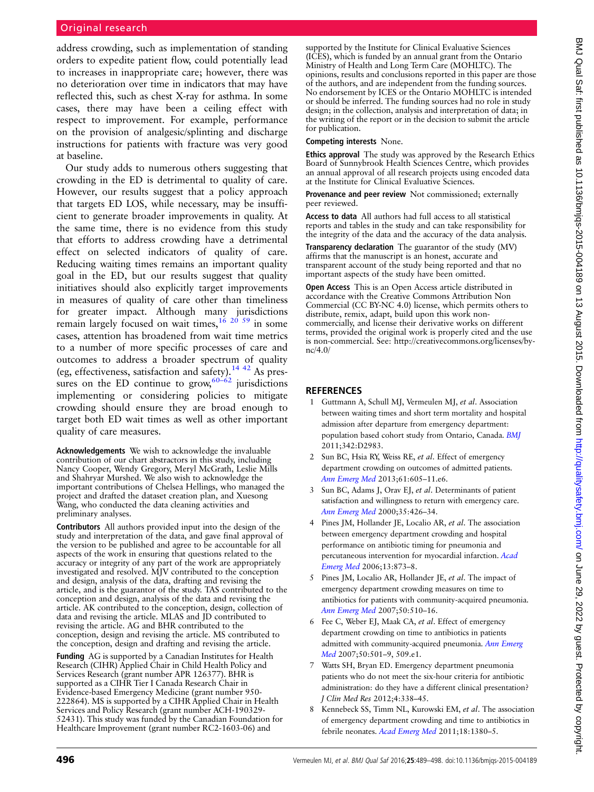## <span id="page-7-0"></span>Original research

address crowding, such as implementation of standing orders to expedite patient flow, could potentially lead to increases in inappropriate care; however, there was no deterioration over time in indicators that may have reflected this, such as chest X-ray for asthma. In some cases, there may have been a ceiling effect with respect to improvement. For example, performance on the provision of analgesic/splinting and discharge instructions for patients with fracture was very good at baseline.

Our study adds to numerous others suggesting that crowding in the ED is detrimental to quality of care. However, our results suggest that a policy approach that targets ED LOS, while necessary, may be insufficient to generate broader improvements in quality. At the same time, there is no evidence from this study that efforts to address crowding have a detrimental effect on selected indicators of quality of care. Reducing waiting times remains an important quality goal in the ED, but our results suggest that quality initiatives should also explicitly target improvements in measures of quality of care other than timeliness for greater impact. Although many jurisdictions remain largely focused on wait times,<sup>[16 20](#page-8-0) [59](#page-9-0)</sup> in some cases, attention has broadened from wait time metrics to a number of more specific processes of care and outcomes to address a broader spectrum of quality (eg, effectiveness, satisfaction and safety).<sup>[14 42](#page-8-0)</sup> As pressures on the ED continue to grow,  $60-62$  $60-62$  jurisdictions implementing or considering policies to mitigate crowding should ensure they are broad enough to target both ED wait times as well as other important quality of care measures.

Acknowledgements We wish to acknowledge the invaluable contribution of our chart abstractors in this study, including Nancy Cooper, Wendy Gregory, Meryl McGrath, Leslie Mills and Shahryar Murshed. We also wish to acknowledge the important contributions of Chelsea Hellings, who managed the project and drafted the dataset creation plan, and Xuesong Wang, who conducted the data cleaning activities and preliminary analyses.

Contributors All authors provided input into the design of the study and interpretation of the data, and gave final approval of the version to be published and agree to be accountable for all aspects of the work in ensuring that questions related to the accuracy or integrity of any part of the work are appropriately investigated and resolved. MJV contributed to the conception and design, analysis of the data, drafting and revising the article, and is the guarantor of the study. TAS contributed to the conception and design, analysis of the data and revising the article. AK contributed to the conception, design, collection of data and revising the article. MLAS and JD contributed to revising the article. AG and BHR contributed to the conception, design and revising the article. MS contributed to the conception, design and drafting and revising the article.

Funding AG is supported by a Canadian Institutes for Health Research (CIHR) Applied Chair in Child Health Policy and Services Research (grant number APR 126377). BHR is supported as a CIHR Tier I Canada Research Chair in Evidence-based Emergency Medicine (grant number 950- 222864). MS is supported by a CIHR Applied Chair in Health Services and Policy Research (grant number ACH-190329- 52431). This study was funded by the Canadian Foundation for Healthcare Improvement (grant number RC2-1603-06) and

supported by the Institute for Clinical Evaluative Sciences (ICES), which is funded by an annual grant from the Ontario Ministry of Health and Long Term Care (MOHLTC). The opinions, results and conclusions reported in this paper are those of the authors, and are independent from the funding sources. No endorsement by ICES or the Ontario MOHLTC is intended or should be inferred. The funding sources had no role in study design; in the collection, analysis and interpretation of data; in the writing of the report or in the decision to submit the article for publication.

Competing interests None.

Ethics approval The study was approved by the Research Ethics Board of Sunnybrook Health Sciences Centre, which provides an annual approval of all research projects using encoded data at the Institute for Clinical Evaluative Sciences.

Provenance and peer review Not commissioned; externally peer reviewed.

Access to data All authors had full access to all statistical reports and tables in the study and can take responsibility for the integrity of the data and the accuracy of the data analysis.

Transparency declaration The guarantor of the study (MV) affirms that the manuscript is an honest, accurate and transparent account of the study being reported and that no important aspects of the study have been omitted.

Open Access This is an Open Access article distributed in accordance with the Creative Commons Attribution Non Commercial (CC BY-NC 4.0) license, which permits others to distribute, remix, adapt, build upon this work noncommercially, and license their derivative works on different terms, provided the original work is properly cited and the use is non-commercial. See: [http://creativecommons.org/licenses/by](http://creativecommons.org/licenses/by-nc/4.0/)[nc/4.0/](http://creativecommons.org/licenses/by-nc/4.0/)

### **REFERENCES**

- 1 Guttmann A, Schull MJ, Vermeulen MJ, et al. Association between waiting times and short term mortality and hospital admission after departure from emergency department: population based cohort study from Ontario, Canada. [BMJ](http://dx.doi.org/10.1136/bmj.d2983) 2011;342:D2983.
- 2 Sun BC, Hsia RY, Weiss RE, et al. Effect of emergency department crowding on outcomes of admitted patients. [Ann Emerg Med](http://dx.doi.org/10.1016/j.annemergmed.2012.10.026) 2013;61:605–11.e6.
- 3 Sun BC, Adams J, Orav EJ, et al. Determinants of patient satisfaction and willingness to return with emergency care. [Ann Emerg Med](http://dx.doi.org/10.1016/S0196-0644(00)70003-5) 2000;35:426–34.
- 4 Pines JM, Hollander JE, Localio AR, et al. The association between emergency department crowding and hospital performance on antibiotic timing for pneumonia and percutaneous intervention for myocardial infarction. [Acad](http://dx.doi.org/10.1111/j.1553-2712.2006.tb01741.x) [Emerg Med](http://dx.doi.org/10.1111/j.1553-2712.2006.tb01741.x) 2006;13:873–8.
- Pines JM, Localio AR, Hollander JE, et al. The impact of emergency department crowding measures on time to antibiotics for patients with community-acquired pneumonia. [Ann Emerg Med](http://dx.doi.org/10.1016/j.annemergmed.2007.07.021) 2007;50:510–16.
- Fee C, Weber EJ, Maak CA, et al. Effect of emergency department crowding on time to antibiotics in patients admitted with community-acquired pneumonia. [Ann Emerg](http://dx.doi.org/10.1016/j.annemergmed.2007.08.003) [Med](http://dx.doi.org/10.1016/j.annemergmed.2007.08.003) 2007;50:501–9, 509.e1.
- 7 Watts SH, Bryan ED. Emergency department pneumonia patients who do not meet the six-hour criteria for antibiotic administration: do they have a different clinical presentation? J Clin Med Res 2012;4:338–45.
- 8 Kennebeck SS, Timm NL, Kurowski EM, et al. The association of emergency department crowding and time to antibiotics in febrile neonates. [Acad Emerg Med](http://dx.doi.org/10.1111/j.1553-2712.2011.01221.x) 2011;18:1380–5.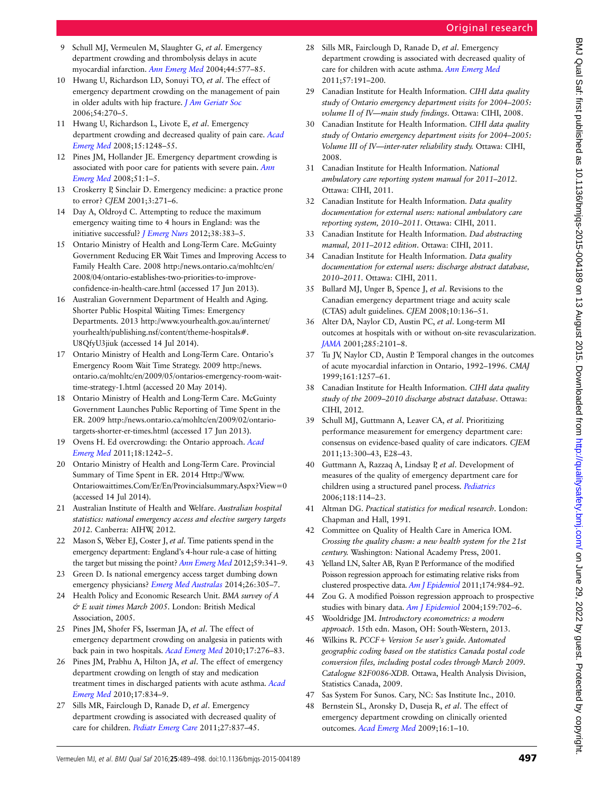Original research

- <span id="page-8-0"></span>9 Schull MJ, Vermeulen M, Slaughter G, et al. Emergency department crowding and thrombolysis delays in acute myocardial infarction. [Ann Emerg Med](http://dx.doi.org/10.1016/j.annemergmed.2004.05.004) 2004;44:577–85.
- 10 Hwang U, Richardson LD, Sonuyi TO, et al. The effect of emergency department crowding on the management of pain in older adults with hip fracture. *[J Am Geriatr Soc](http://dx.doi.org/10.1111/j.1532-5415.2005.00587.x)* 2006;54:270–5.
- 11 Hwang U, Richardson L, Livote E, et al. Emergency department crowding and decreased quality of pain care. [Acad](http://dx.doi.org/10.1111/j.1553-2712.2008.00267.x) [Emerg Med](http://dx.doi.org/10.1111/j.1553-2712.2008.00267.x) 2008;15:1248–55.
- 12 Pines JM, Hollander JE. Emergency department crowding is associated with poor care for patients with severe pain. [Ann](http://dx.doi.org/10.1016/j.annemergmed.2007.07.008) [Emerg Med](http://dx.doi.org/10.1016/j.annemergmed.2007.07.008) 2008;51:1–5.
- 13 Croskerry P, Sinclair D. Emergency medicine: a practice prone to error? CJEM 2001;3:271–6.
- 14 Day A, Oldroyd C. Attempting to reduce the maximum emergency waiting time to 4 hours in England: was the initiative successful? *[J Emerg Nurs](http://dx.doi.org/10.1016/j.jen.2012.04.002)* 2012;38:383-5.
- 15 Ontario Ministry of Health and Long-Term Care. McGuinty Government Reducing ER Wait Times and Improving Access to Family Health Care. 2008 [http://news.ontario.ca/mohltc/en/](http://news.ontario.ca/mohltc/en/2008/04/ontario-establishes-two-priorities-to-improve-confidence-in-health-care.html) [2008/04/ontario-establishes-two-priorities-to-improve](http://news.ontario.ca/mohltc/en/2008/04/ontario-establishes-two-priorities-to-improve-confidence-in-health-care.html)[confidence-in-health-care.html](http://news.ontario.ca/mohltc/en/2008/04/ontario-establishes-two-priorities-to-improve-confidence-in-health-care.html) (accessed 17 Jun 2013).
- 16 Australian Government Department of Health and Aging. Shorter Public Hospital Waiting Times: Emergency Departments. 2013 [http://www.yourhealth.gov.au/internet/](http://www.yourhealth.gov.au/internet/yourhealth/publishing.nsf/content/theme-hospitals#.U8QfyU3jiuk) [yourhealth/publishing.nsf/content/theme-hospitals#.](http://www.yourhealth.gov.au/internet/yourhealth/publishing.nsf/content/theme-hospitals#.U8QfyU3jiuk) [U8QfyU3jiuk](http://www.yourhealth.gov.au/internet/yourhealth/publishing.nsf/content/theme-hospitals#.U8QfyU3jiuk) (accessed 14 Jul 2014).
- 17 Ontario Ministry of Health and Long-Term Care. Ontario's Emergency Room Wait Time Strategy. 2009 [http://news.](http://news.ontario.ca/mohltc/en/2009/05/ontarios-emergency-room-wait-time-strategy-1.html) [ontario.ca/mohltc/en/2009/05/ontarios-emergency-room-wait](http://news.ontario.ca/mohltc/en/2009/05/ontarios-emergency-room-wait-time-strategy-1.html)[time-strategy-1.html](http://news.ontario.ca/mohltc/en/2009/05/ontarios-emergency-room-wait-time-strategy-1.html) (accessed 20 May 2014).
- 18 Ontario Ministry of Health and Long-Term Care. McGuinty Government Launches Public Reporting of Time Spent in the ER. 2009 [http://news.ontario.ca/mohltc/en/2009/02/ontario](http://news.ontario.ca/mohltc/en/2009/02/ontario-targets-shorter-er-times.html)[targets-shorter-er-times.html](http://news.ontario.ca/mohltc/en/2009/02/ontario-targets-shorter-er-times.html) (accessed 17 Jun 2013).
- 19 Ovens H. Ed overcrowding: the Ontario approach. [Acad](http://dx.doi.org/10.1111/j.1553-2712.2011.01220.x) [Emerg Med](http://dx.doi.org/10.1111/j.1553-2712.2011.01220.x) 2011;18:1242–5.
- 20 Ontario Ministry of Health and Long-Term Care. Provincial Summary of Time Spent in ER. 2014 [Http://Www.](Http://Www.Ontariowaittimes.Com/Er/En/Provincialsummary.Aspx?View=0) [Ontariowaittimes.Com/Er/En/Provincialsummary.Aspx?View=0](Http://Www.Ontariowaittimes.Com/Er/En/Provincialsummary.Aspx?View=0) (accessed 14 Jul 2014).
- 21 Australian Institute of Health and Welfare. Australian hospital statistics: national emergency access and elective surgery targets 2012. Canberra: AIHW, 2012.
- 22 Mason S, Weber EJ, Coster J, et al. Time patients spend in the emergency department: England's 4-hour rule-a case of hitting the target but missing the point? [Ann Emerg Med](http://dx.doi.org/10.1016/j.annemergmed.2011.08.017) 2012;59:341-9.
- 23 Green D. Is national emergency access target dumbing down emergency physicians? [Emerg Med Australas](http://dx.doi.org/10.1111/1742-6723.12238) 2014;26:305-7.
- 24 Health Policy and Economic Research Unit. BMA survey of A & E wait times March 2005. London: British Medical Association, 2005.
- 25 Pines JM, Shofer FS, Isserman JA, et al. The effect of emergency department crowding on analgesia in patients with back pain in two hospitals. [Acad Emerg Med](http://dx.doi.org/10.1111/j.1553-2712.2009.00676.x) 2010;17:276–83.
- 26 Pines JM, Prabhu A, Hilton JA, et al. The effect of emergency department crowding on length of stay and medication treatment times in discharged patients with acute asthma. [Acad](http://dx.doi.org/10.1111/j.1553-2712.2010.00780.x) [Emerg Med](http://dx.doi.org/10.1111/j.1553-2712.2010.00780.x) 2010;17:834–9.
- 27 Sills MR, Fairclough D, Ranade D, et al. Emergency department crowding is associated with decreased quality of care for children. [Pediatr Emerg Care](http://dx.doi.org/10.1097/PEC.0b013e31822c1382) 2011;27:837–45.
- Sills MR, Fairclough D, Ranade D, et al. Emergency department crowding is associated with decreased quality of care for children with acute asthma. [Ann Emerg Med](http://dx.doi.org/10.1016/j.annemergmed.2010.08.027) 2011;57:191–200.
- 29 Canadian Institute for Health Information. CIHI data quality study of Ontario emergency department visits for 2004–2005: volume II of IV—main study findings. Ottawa: CIHI, 2008.
- 30 Canadian Institute for Health Information. CIHI data quality study of Ontario emergency department visits for 2004–2005: Volume III of IV—inter-rater reliability study. Ottawa: CIHI, 2008.
- 31 Canadian Institute for Health Information. National ambulatory care reporting system manual for 2011–2012. Ottawa: CIHI, 2011.
- 32 Canadian Institute for Health Information. Data quality documentation for external users: national ambulatory care reporting system, 2010–2011. Ottawa: CIHI, 2011.
- 33 Canadian Institute for Health Information. Dad abstracting manual, 2011–2012 edition. Ottawa: CIHI, 2011.
- 34 Canadian Institute for Health Information. Data quality documentation for external users: discharge abstract database, 2010–2011. Ottawa: CIHI, 2011.
- 35 Bullard MJ, Unger B, Spence J, et al. Revisions to the Canadian emergency department triage and acuity scale (CTAS) adult guidelines. CJEM 2008;10:136–51.
- 36 Alter DA, Naylor CD, Austin PC, et al. Long-term MI outcomes at hospitals with or without on-site revascularization. [JAMA](http://dx.doi.org/10.1001/jama.285.16.2101) 2001;285:2101–8.
- 37 Tu JV, Naylor CD, Austin P. Temporal changes in the outcomes of acute myocardial infarction in Ontario, 1992–1996. CMAJ 1999;161:1257–61.
- 38 Canadian Institute for Health Information. CIHI data quality study of the 2009–2010 discharge abstract database. Ottawa: CIHI, 2012.
- 39 Schull MJ, Guttmann A, Leaver CA, et al. Prioritizing performance measurement for emergency department care: consensus on evidence-based quality of care indicators. CJEM 2011;13:300–43, E28–43.
- 40 Guttmann A, Razzaq A, Lindsay P, et al. Development of measures of the quality of emergency department care for children using a structured panel process. [Pediatrics](http://dx.doi.org/10.1542/peds.2005-3029) 2006;118:114–23.
- 41 Altman DG. Practical statistics for medical research. London: Chapman and Hall, 1991.
- 42 Committee on Quality of Health Care in America IOM. Crossing the quality chasm: a new health system for the 21st century. Washington: National Academy Press, 2001.
- 43 Yelland LN, Salter AB, Ryan P. Performance of the modified Poisson regression approach for estimating relative risks from clustered prospective data. [Am J Epidemiol](http://dx.doi.org/10.1093/aje/kwr183) 2011;174:984-92.
- 44 Zou G. A modified Poisson regression approach to prospective studies with binary data. [Am J Epidemiol](http://dx.doi.org/10.1093/aje/kwh090) 2004;159:702-6.
- 45 Wooldridge JM. Introductory econometrics: a modern approach. 15th edn. Mason, OH: South-Western, 2013.
- 46 Wilkins R. PCCF+ Version 5e user's guide. Automated geographic coding based on the statistics Canada postal code conversion files, including postal codes through March 2009. Catalogue 82F0086-XDB. Ottawa, Health Analysis Division, Statistics Canada, 2009.
- 47 Sas System For Sunos. Cary, NC: Sas Institute Inc., 2010.
- 48 Bernstein SL, Aronsky D, Duseja R, et al. The effect of emergency department crowding on clinically oriented outcomes. [Acad Emerg Med](http://dx.doi.org/10.1111/j.1553-2712.2008.00295.x) 2009;16:1–10.